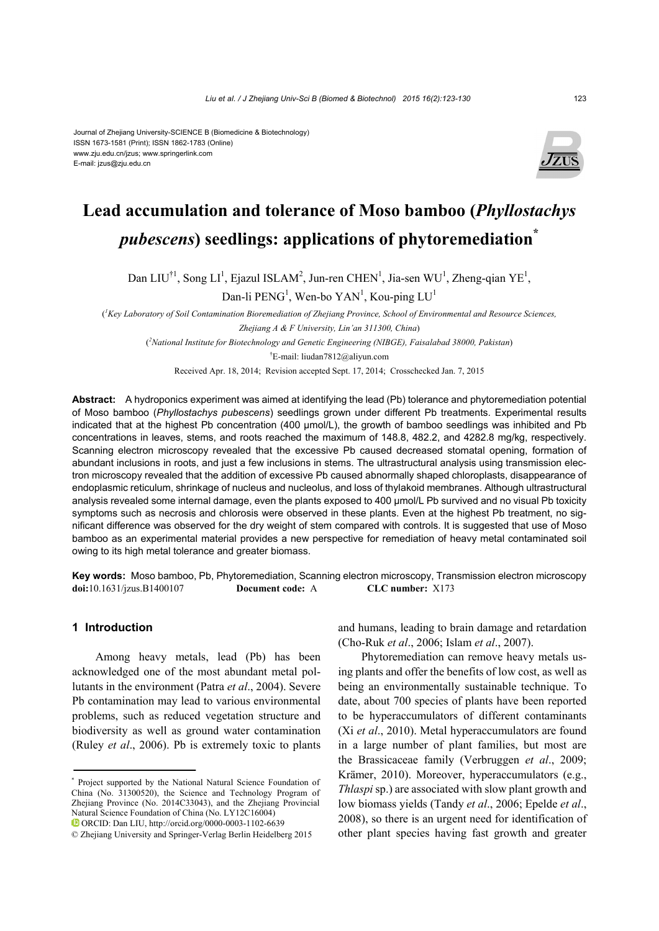#### Journal of Zhejiang University-SCIENCE B (Biomedicine & Biotechnology) ISSN 1673-1581 (Print); ISSN 1862-1783 (Online) www.zju.edu.cn/jzus; www.springerlink.com E-mail: jzus@zju.edu.cn



# **Lead accumulation and tolerance of Moso bamboo (***Phyllostachys pubescens***) seedlings: applications of phytoremediation\***

Dan LIU<sup>†1</sup>, Song LI<sup>1</sup>, Ejazul ISLAM<sup>2</sup>, Jun-ren CHEN<sup>1</sup>, Jia-sen WU<sup>1</sup>, Zheng-qian YE<sup>1</sup>,

Dan-li  $\text{PENG}^1$ , Wen-bo  $\text{YAN}^1$ , Kou-ping  $\text{LU}^1$ 

( *1 Key Laboratory of Soil Contamination Bioremediation of Zhejiang Province, School of Environmental and Resource Sciences, Zhejiang A & F University, Lin'an 311300, China*)

( *2 National Institute for Biotechnology and Genetic Engineering (NIBGE), Faisalabad 38000, Pakistan*)

† E-mail: liudan7812@aliyun.com

Received Apr. 18, 2014; Revision accepted Sept. 17, 2014; Crosschecked Jan. 7, 2015

**Abstract:** A hydroponics experiment was aimed at identifying the lead (Pb) tolerance and phytoremediation potential of Moso bamboo (*Phyllostachys pubescens*) seedlings grown under different Pb treatments. Experimental results indicated that at the highest Pb concentration (400 μmol/L), the growth of bamboo seedlings was inhibited and Pb concentrations in leaves, stems, and roots reached the maximum of 148.8, 482.2, and 4282.8 mg/kg, respectively. Scanning electron microscopy revealed that the excessive Pb caused decreased stomatal opening, formation of abundant inclusions in roots, and just a few inclusions in stems. The ultrastructural analysis using transmission electron microscopy revealed that the addition of excessive Pb caused abnormally shaped chloroplasts, disappearance of endoplasmic reticulum, shrinkage of nucleus and nucleolus, and loss of thylakoid membranes. Although ultrastructural analysis revealed some internal damage, even the plants exposed to 400 µmol/L Pb survived and no visual Pb toxicity symptoms such as necrosis and chlorosis were observed in these plants. Even at the highest Pb treatment, no significant difference was observed for the dry weight of stem compared with controls. It is suggested that use of Moso bamboo as an experimental material provides a new perspective for remediation of heavy metal contaminated soil owing to its high metal tolerance and greater biomass.

**Key words:** Moso bamboo, Pb, Phytoremediation, Scanning electron microscopy, Transmission electron microscopy **doi:**10.1631/jzus.B1400107 **Document code:** A **CLC number:** X173

## **1 Introduction**

Among heavy metals, lead (Pb) has been acknowledged one of the most abundant metal pollutants in the environment (Patra *et al*., 2004). Severe Pb contamination may lead to various environmental problems, such as reduced vegetation structure and biodiversity as well as ground water contamination (Ruley *et al*., 2006). Pb is extremely toxic to plants and humans, leading to brain damage and retardation (Cho-Ruk *et al*., 2006; Islam *et al*., 2007).

Phytoremediation can remove heavy metals using plants and offer the benefits of low cost, as well as being an environmentally sustainable technique. To date, about 700 species of plants have been reported to be hyperaccumulators of different contaminants (Xi *et al*., 2010). Metal hyperaccumulators are found in a large number of plant families, but most are the Brassicaceae family (Verbruggen *et al*., 2009; Krämer, 2010). Moreover, hyperaccumulators (e.g., *Thlaspi* sp.) are associated with slow plant growth and low biomass yields (Tandy *et al*., 2006; Epelde *et al*., 2008), so there is an urgent need for identification of other plant species having fast growth and greater

<sup>\*</sup> Project supported by the National Natural Science Foundation of China (No. 31300520), the Science and Technology Program of Zhejiang Province (No. 2014C33043), and the Zhejiang Provincial Natural Science Foundation of China (No. LY12C16004)

ORCID: Dan LIU, http://orcid.org/0000-0003-1102-6639

<sup>©</sup> Zhejiang University and Springer-Verlag Berlin Heidelberg 2015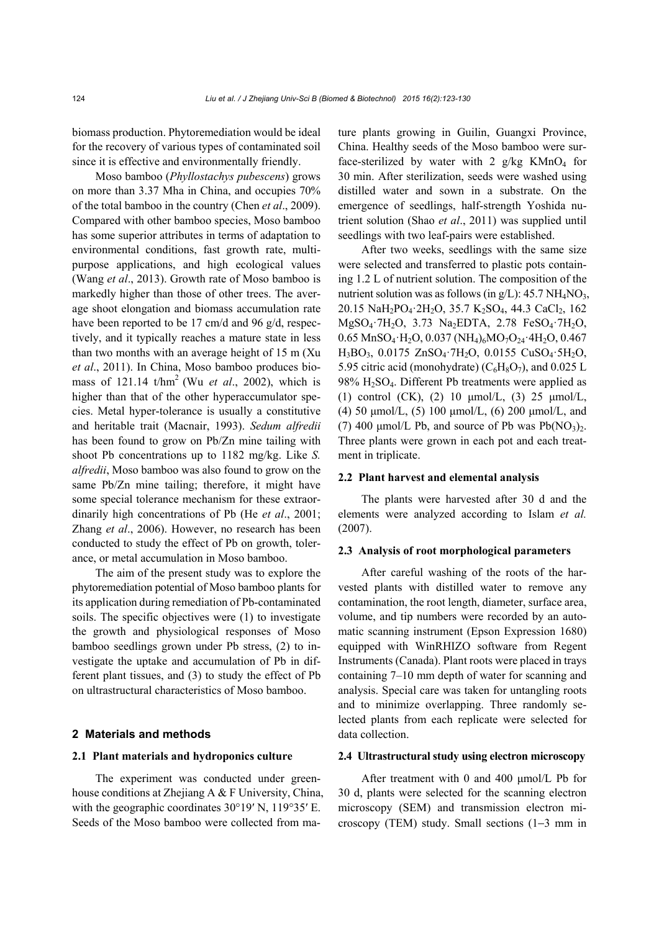biomass production. Phytoremediation would be ideal for the recovery of various types of contaminated soil since it is effective and environmentally friendly.

Moso bamboo (*Phyllostachys pubescens*) grows on more than 3.37 Mha in China, and occupies 70% of the total bamboo in the country (Chen *et al*., 2009). Compared with other bamboo species, Moso bamboo has some superior attributes in terms of adaptation to environmental conditions, fast growth rate, multipurpose applications, and high ecological values (Wang *et al*., 2013). Growth rate of Moso bamboo is markedly higher than those of other trees. The average shoot elongation and biomass accumulation rate have been reported to be 17 cm/d and 96 g/d, respectively, and it typically reaches a mature state in less than two months with an average height of 15 m (Xu *et al*., 2011). In China, Moso bamboo produces biomass of 121.14 t/hm2 (Wu *et al*., 2002), which is higher than that of the other hyperaccumulator species. Metal hyper-tolerance is usually a constitutive and heritable trait (Macnair, 1993). *Sedum alfredii*  has been found to grow on Pb/Zn mine tailing with shoot Pb concentrations up to 1182 mg/kg. Like *S. alfredii*, Moso bamboo was also found to grow on the same Pb/Zn mine tailing; therefore, it might have some special tolerance mechanism for these extraordinarily high concentrations of Pb (He *et al*., 2001; Zhang *et al*., 2006). However, no research has been conducted to study the effect of Pb on growth, tolerance, or metal accumulation in Moso bamboo.

The aim of the present study was to explore the phytoremediation potential of Moso bamboo plants for its application during remediation of Pb-contaminated soils. The specific objectives were (1) to investigate the growth and physiological responses of Moso bamboo seedlings grown under Pb stress, (2) to investigate the uptake and accumulation of Pb in different plant tissues, and (3) to study the effect of Pb on ultrastructural characteristics of Moso bamboo.

#### **2 Materials and methods**

## **2.1 Plant materials and hydroponics culture**

The experiment was conducted under greenhouse conditions at Zhejiang A & F University, China, with the geographic coordinates 30°19′ N, 119°35′ E. Seeds of the Moso bamboo were collected from mature plants growing in Guilin, Guangxi Province, China. Healthy seeds of the Moso bamboo were surface-sterilized by water with 2  $g/kg$  KMnO<sub>4</sub> for 30 min. After sterilization, seeds were washed using distilled water and sown in a substrate. On the emergence of seedlings, half-strength Yoshida nutrient solution (Shao *et al*., 2011) was supplied until seedlings with two leaf-pairs were established.

After two weeks, seedlings with the same size were selected and transferred to plastic pots containing 1.2 L of nutrient solution. The composition of the nutrient solution was as follows (in  $g/L$ ): 45.7 NH<sub>4</sub>NO<sub>3</sub>, 20.15 NaH<sub>2</sub>PO<sub>4</sub>·2H<sub>2</sub>O, 35.7 K<sub>2</sub>SO<sub>4</sub>, 44.3 CaCl<sub>2</sub>, 162 MgSO4·7H2O, 3.73 Na2EDTA, 2.78 FeSO4·7H2O,  $0.65$  MnSO<sub>4</sub>·H<sub>2</sub>O,  $0.037$  (NH<sub>4</sub>)<sub>6</sub>MO<sub>7</sub>O<sub>24</sub>·4H<sub>2</sub>O, 0.467 H3BO3, 0.0175 ZnSO4·7H2O, 0.0155 CuSO4·5H2O, 5.95 citric acid (monohydrate) ( $C_6H_8O_7$ ), and 0.025 L 98% H2SO4. Different Pb treatments were applied as (1) control (CK), (2) 10 μmol/L, (3) 25 μmol/L, (4) 50 μmol/L, (5) 100 μmol/L, (6) 200 μmol/L, and (7) 400  $\mu$ mol/L Pb, and source of Pb was Pb(NO<sub>3</sub>)<sub>2</sub>. Three plants were grown in each pot and each treatment in triplicate.

## **2.2 Plant harvest and elemental analysis**

The plants were harvested after 30 d and the elements were analyzed according to Islam *et al.*  (2007).

#### **2.3 Analysis of root morphological parameters**

After careful washing of the roots of the harvested plants with distilled water to remove any contamination, the root length, diameter, surface area, volume, and tip numbers were recorded by an automatic scanning instrument (Epson Expression 1680) equipped with WinRHIZO software from Regent Instruments (Canada). Plant roots were placed in trays containing 7–10 mm depth of water for scanning and analysis. Special care was taken for untangling roots and to minimize overlapping. Three randomly selected plants from each replicate were selected for data collection.

#### **2.4 Ultrastructural study using electron microscopy**

After treatment with 0 and 400 μmol/L Pb for 30 d, plants were selected for the scanning electron microscopy (SEM) and transmission electron microscopy (TEM) study. Small sections (1−3 mm in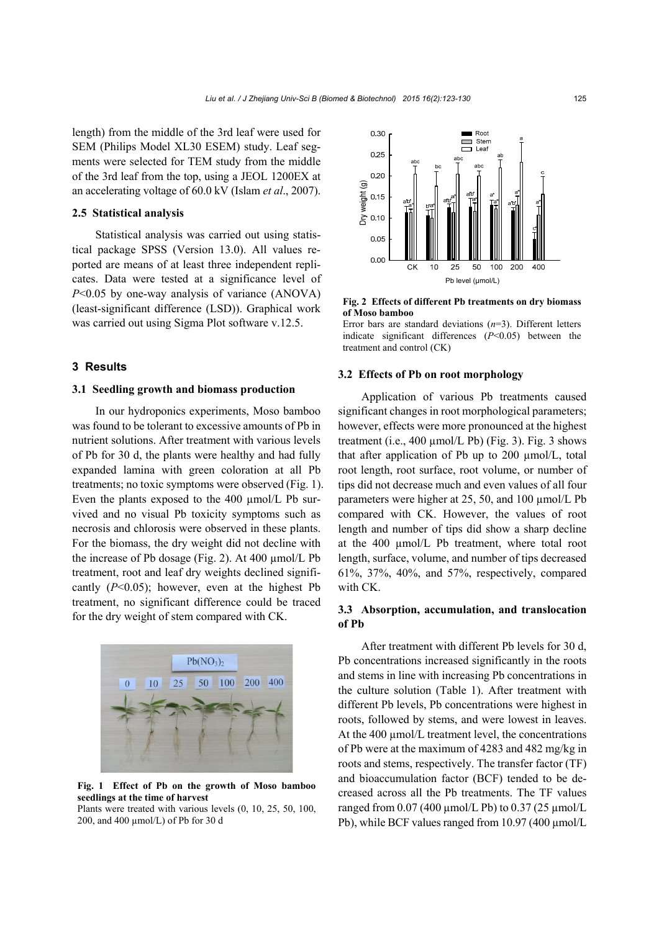length) from the middle of the 3rd leaf were used for SEM (Philips Model XL30 ESEM) study. Leaf segments were selected for TEM study from the middle of the 3rd leaf from the top, using a JEOL 1200EX at an accelerating voltage of 60.0 kV (Islam *et al*., 2007).

#### **2.5 Statistical analysis**

Statistical analysis was carried out using statistical package SPSS (Version 13.0). All values reported are means of at least three independent replicates. Data were tested at a significance level of *P*<0.05 by one-way analysis of variance (ANOVA) (least-significant difference (LSD)). Graphical work was carried out using Sigma Plot software v.12.5.

## **3 Results**

#### **3.1 Seedling growth and biomass production**

In our hydroponics experiments, Moso bamboo was found to be tolerant to excessive amounts of Pb in nutrient solutions. After treatment with various levels of Pb for 30 d, the plants were healthy and had fully expanded lamina with green coloration at all Pb treatments; no toxic symptoms were observed (Fig. 1). Even the plants exposed to the 400 µmol/L Pb survived and no visual Pb toxicity symptoms such as necrosis and chlorosis were observed in these plants. For the biomass, the dry weight did not decline with the increase of Pb dosage (Fig. 2). At  $400 \mu$ mol/L Pb treatment, root and leaf dry weights declined significantly  $(P<0.05)$ ; however, even at the highest Pb treatment, no significant difference could be traced for the dry weight of stem compared with CK.



**Fig. 1 Effect of Pb on the growth of Moso bamboo seedlings at the time of harvest** 

Plants were treated with various levels (0, 10, 25, 50, 100, 200, and 400  $\mu$ mol/L) of Pb for 30 d



**Fig. 2 Effects of different Pb treatments on dry biomass of Moso bamboo** 

Error bars are standard deviations (*n*=3). Different letters indicate significant differences (*P*<0.05) between the treatment and control (CK)

#### **3.2 Effects of Pb on root morphology**

Application of various Pb treatments caused significant changes in root morphological parameters; however, effects were more pronounced at the highest treatment (i.e.,  $400 \mu$ mol/L Pb) (Fig. 3). Fig. 3 shows that after application of Pb up to 200 µmol/L, total root length, root surface, root volume, or number of tips did not decrease much and even values of all four parameters were higher at 25, 50, and 100 µmol/L Pb compared with CK. However, the values of root length and number of tips did show a sharp decline at the 400 µmol/L Pb treatment, where total root length, surface, volume, and number of tips decreased 61%, 37%, 40%, and 57%, respectively, compared with CK.

## **3.3 Absorption, accumulation, and translocation of Pb**

After treatment with different Pb levels for 30 d, Pb concentrations increased significantly in the roots and stems in line with increasing Pb concentrations in the culture solution (Table 1). After treatment with different Pb levels, Pb concentrations were highest in roots, followed by stems, and were lowest in leaves. At the 400  $\mu$ mol/L treatment level, the concentrations of Pb were at the maximum of 4283 and 482 mg/kg in roots and stems, respectively. The transfer factor (TF) and bioaccumulation factor (BCF) tended to be decreased across all the Pb treatments. The TF values ranged from 0.07 (400  $\mu$ mol/L Pb) to 0.37 (25  $\mu$ mol/L Pb), while BCF values ranged from 10.97 (400 µmol/L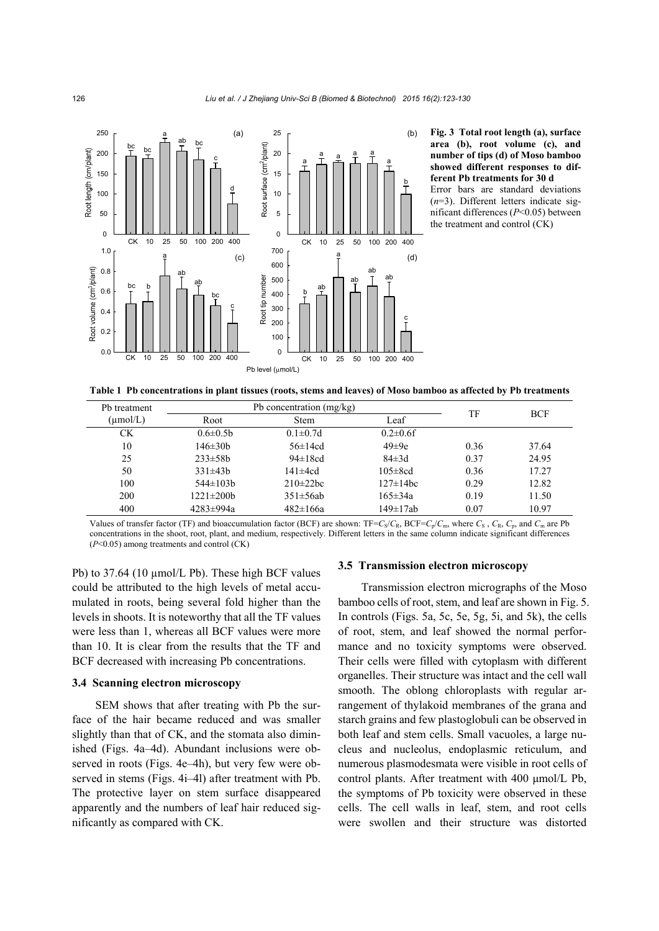

**Fig. 3 Total root length (a), surface area (b), root volume (c), and number of tips (d) of Moso bamboo showed different responses to different Pb treatments for 30 d** 

Error bars are standard deviations (*n*=3). Different letters indicate significant differences (*P*<0.05) between the treatment and control (CK)

**Table 1 Pb concentrations in plant tissues (roots, stems and leaves) of Moso bamboo as affected by Pb treatments**

| Pb treatment | Pb concentration (mg/kg) |                 |                 | TF   | <b>BCF</b> |
|--------------|--------------------------|-----------------|-----------------|------|------------|
| (µmol/L)     | Root                     | <b>Stem</b>     | Leaf            |      |            |
| <b>CK</b>    | $0.6 \pm 0.5$ h          | $0.1 \pm 0.7$ d | $0.2 \pm 0.6$ f |      |            |
| 10           | 146±30b                  | $56 \pm 14$ cd  | $49\pm9e$       | 0.36 | 37.64      |
| 25           | $233 \pm 58$ h           | $94\pm18cd$     | $84\pm3d$       | 0.37 | 24.95      |
| 50           | $331\pm43b$              | $141\pm4cd$     | $105 \pm 8cd$   | 0.36 | 17.27      |
| 100          | $544\pm103h$             | $210\pm22$ bc   | $127 \pm 14$ bc | 0.29 | 12.82      |
| 200          | $1221 \pm 200$           | $351 \pm 56ab$  | $165 \pm 34a$   | 0.19 | 11.50      |
| 400          | 4283±994a                | $482 \pm 166a$  | $149 \pm 17$ ab | 0.07 | 10.97      |

Values of transfer factor (TF) and bioaccumulation factor (BCF) are shown:  $TF=C_S/C_R$ ,  $BCF=C_p/C_m$ , where  $C_S$ ,  $C_R$ ,  $C_p$ , and  $C_m$  are Pb concentrations in the shoot, root, plant, and medium, respectively. Different letters in the same column indicate significant differences (*P*<0.05) among treatments and control (CK)

Pb) to 37.64 (10 µmol/L Pb). These high BCF values could be attributed to the high levels of metal accumulated in roots, being several fold higher than the levels in shoots. It is noteworthy that all the TF values were less than 1, whereas all BCF values were more than 10. It is clear from the results that the TF and BCF decreased with increasing Pb concentrations.

## **3.4 Scanning electron microscopy**

SEM shows that after treating with Pb the surface of the hair became reduced and was smaller slightly than that of CK, and the stomata also diminished (Figs. 4a–4d). Abundant inclusions were observed in roots (Figs. 4e–4h), but very few were observed in stems (Figs. 4i–4l) after treatment with Pb. The protective layer on stem surface disappeared apparently and the numbers of leaf hair reduced significantly as compared with CK.

#### **3.5 Transmission electron microscopy**

Transmission electron micrographs of the Moso bamboo cells of root, stem, and leaf are shown in Fig. 5. In controls (Figs. 5a, 5c, 5e, 5g, 5i, and 5k), the cells of root, stem, and leaf showed the normal performance and no toxicity symptoms were observed. Their cells were filled with cytoplasm with different organelles. Their structure was intact and the cell wall smooth. The oblong chloroplasts with regular arrangement of thylakoid membranes of the grana and starch grains and few plastoglobuli can be observed in both leaf and stem cells. Small vacuoles, a large nucleus and nucleolus, endoplasmic reticulum, and numerous plasmodesmata were visible in root cells of control plants. After treatment with 400 μmol/L Pb, the symptoms of Pb toxicity were observed in these cells. The cell walls in leaf, stem, and root cells were swollen and their structure was distorted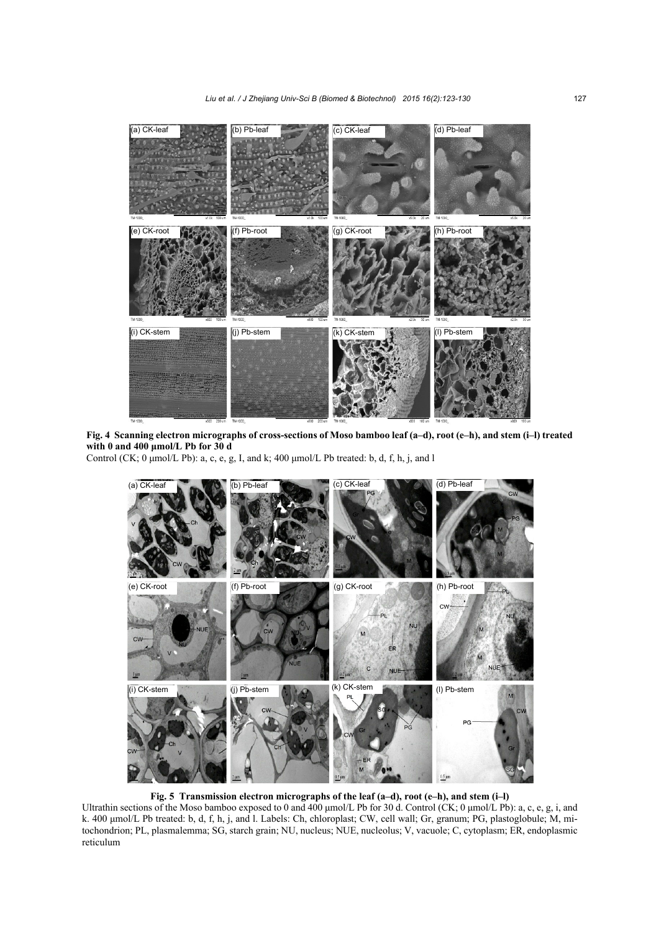

**Fig. 4 Scanning electron micrographs of cross-sections of Moso bamboo leaf (a–d), root (e–h), and stem (i–l) treated with 0 and 400 μmol/L Pb for 30 d** 

Control (CK; 0 μmol/L Pb): a, c, e, g, I, and k; 400 μmol/L Pb treated: b, d, f, h, j, and l



**Fig. 5 Transmission electron micrographs of the leaf (a–d), root (e–h), and stem (i–l)** 

Ultrathin sections of the Moso bamboo exposed to 0 and 400 μmol/L Pb for 30 d. Control (CK; 0 μmol/L Pb): a, c, e, g, i, and k. 400 μmol/L Pb treated: b, d, f, h, j, and l. Labels: Ch, chloroplast; CW, cell wall; Gr, granum; PG, plastoglobule; M, mitochondrion; PL, plasmalemma; SG, starch grain; NU, nucleus; NUE, nucleolus; V, vacuole; C, cytoplasm; ER, endoplasmic reticulum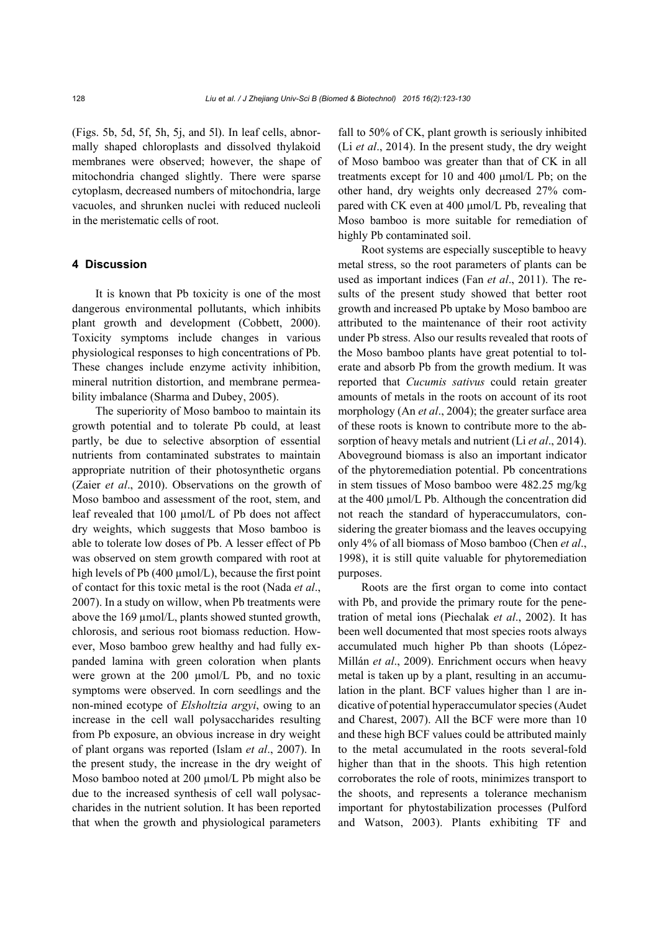(Figs. 5b, 5d, 5f, 5h, 5j, and 5l). In leaf cells, abnormally shaped chloroplasts and dissolved thylakoid membranes were observed; however, the shape of mitochondria changed slightly. There were sparse cytoplasm, decreased numbers of mitochondria, large vacuoles, and shrunken nuclei with reduced nucleoli in the meristematic cells of root.

## **4 Discussion**

It is known that Pb toxicity is one of the most dangerous environmental pollutants, which inhibits plant growth and development (Cobbett, 2000). Toxicity symptoms include changes in various physiological responses to high concentrations of Pb. These changes include enzyme activity inhibition, mineral nutrition distortion, and membrane permeability imbalance (Sharma and Dubey, 2005).

The superiority of Moso bamboo to maintain its growth potential and to tolerate Pb could, at least partly, be due to selective absorption of essential nutrients from contaminated substrates to maintain appropriate nutrition of their photosynthetic organs (Zaier *et al*., 2010). Observations on the growth of Moso bamboo and assessment of the root, stem, and leaf revealed that 100 µmol/L of Pb does not affect dry weights, which suggests that Moso bamboo is able to tolerate low doses of Pb. A lesser effect of Pb was observed on stem growth compared with root at high levels of Pb (400 µmol/L), because the first point of contact for this toxic metal is the root (Nada *et al*., 2007). In a study on willow, when Pb treatments were above the 169 µmol/L, plants showed stunted growth, chlorosis, and serious root biomass reduction. However, Moso bamboo grew healthy and had fully expanded lamina with green coloration when plants were grown at the 200 µmol/L Pb, and no toxic symptoms were observed. In corn seedlings and the non-mined ecotype of *Elsholtzia argyi*, owing to an increase in the cell wall polysaccharides resulting from Pb exposure, an obvious increase in dry weight of plant organs was reported (Islam *et al*., 2007). In the present study, the increase in the dry weight of Moso bamboo noted at 200 µmol/L Pb might also be due to the increased synthesis of cell wall polysaccharides in the nutrient solution. It has been reported that when the growth and physiological parameters

fall to 50% of CK, plant growth is seriously inhibited (Li *et al*., 2014). In the present study, the dry weight of Moso bamboo was greater than that of CK in all treatments except for 10 and 400 μmol/L Pb; on the other hand, dry weights only decreased 27% compared with CK even at 400 μmol/L Pb, revealing that Moso bamboo is more suitable for remediation of highly Pb contaminated soil.

Root systems are especially susceptible to heavy metal stress, so the root parameters of plants can be used as important indices (Fan *et al*., 2011). The results of the present study showed that better root growth and increased Pb uptake by Moso bamboo are attributed to the maintenance of their root activity under Pb stress. Also our results revealed that roots of the Moso bamboo plants have great potential to tolerate and absorb Pb from the growth medium. It was reported that *Cucumis sativus* could retain greater amounts of metals in the roots on account of its root morphology (An *et al*., 2004); the greater surface area of these roots is known to contribute more to the absorption of heavy metals and nutrient (Li *et al*., 2014). Aboveground biomass is also an important indicator of the phytoremediation potential. Pb concentrations in stem tissues of Moso bamboo were 482.25 mg/kg at the 400 µmol/L Pb. Although the concentration did not reach the standard of hyperaccumulators, considering the greater biomass and the leaves occupying only 4% of all biomass of Moso bamboo (Chen *et al*., 1998), it is still quite valuable for phytoremediation purposes.

Roots are the first organ to come into contact with Pb, and provide the primary route for the penetration of metal ions (Piechalak *et al*., 2002). It has been well documented that most species roots always accumulated much higher Pb than shoots (López-Millán *et al*., 2009). Enrichment occurs when heavy metal is taken up by a plant, resulting in an accumulation in the plant. BCF values higher than 1 are indicative of potential hyperaccumulator species (Audet and Charest, 2007). All the BCF were more than 10 and these high BCF values could be attributed mainly to the metal accumulated in the roots several-fold higher than that in the shoots. This high retention corroborates the role of roots, minimizes transport to the shoots, and represents a tolerance mechanism important for phytostabilization processes (Pulford and Watson, 2003). Plants exhibiting TF and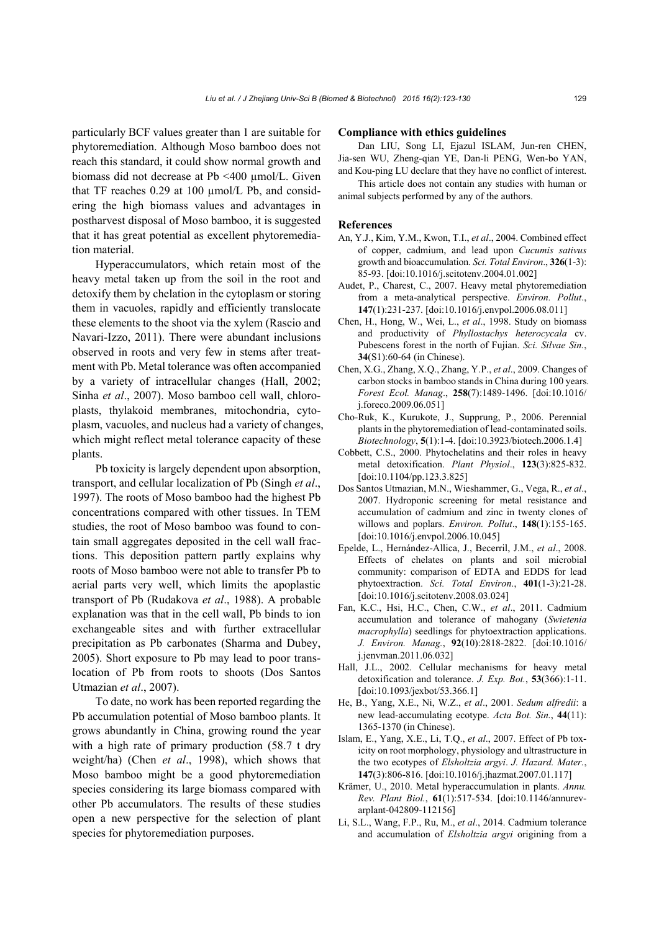particularly BCF values greater than 1 are suitable for phytoremediation. Although Moso bamboo does not reach this standard, it could show normal growth and biomass did not decrease at Pb <400 µmol/L. Given that TF reaches  $0.29$  at  $100 \text{ µmol/L Pb}$ , and considering the high biomass values and advantages in postharvest disposal of Moso bamboo, it is suggested that it has great potential as excellent phytoremediation material.

Hyperaccumulators, which retain most of the heavy metal taken up from the soil in the root and detoxify them by chelation in the cytoplasm or storing them in vacuoles, rapidly and efficiently translocate these elements to the shoot via the xylem (Rascio and Navari-Izzo, 2011). There were abundant inclusions observed in roots and very few in stems after treatment with Pb. Metal tolerance was often accompanied by a variety of intracellular changes (Hall, 2002; Sinha *et al*., 2007). Moso bamboo cell wall, chloroplasts, thylakoid membranes, mitochondria, cytoplasm, vacuoles, and nucleus had a variety of changes, which might reflect metal tolerance capacity of these plants.

Pb toxicity is largely dependent upon absorption, transport, and cellular localization of Pb (Singh *et al*., 1997). The roots of Moso bamboo had the highest Pb concentrations compared with other tissues. In TEM studies, the root of Moso bamboo was found to contain small aggregates deposited in the cell wall fractions. This deposition pattern partly explains why roots of Moso bamboo were not able to transfer Pb to aerial parts very well, which limits the apoplastic transport of Pb (Rudakova *et al*., 1988). A probable explanation was that in the cell wall, Pb binds to ion exchangeable sites and with further extracellular precipitation as Pb carbonates (Sharma and Dubey, 2005). Short exposure to Pb may lead to poor translocation of Pb from roots to shoots (Dos Santos Utmazian *et al*., 2007).

To date, no work has been reported regarding the Pb accumulation potential of Moso bamboo plants. It grows abundantly in China, growing round the year with a high rate of primary production (58.7 t dry weight/ha) (Chen *et al*., 1998), which shows that Moso bamboo might be a good phytoremediation species considering its large biomass compared with other Pb accumulators. The results of these studies open a new perspective for the selection of plant species for phytoremediation purposes.

#### **Compliance with ethics guidelines**

Dan LIU, Song LI, Ejazul ISLAM, Jun-ren CHEN, Jia-sen WU, Zheng-qian YE, Dan-li PENG, Wen-bo YAN, and Kou-ping LU declare that they have no conflict of interest.

This article does not contain any studies with human or animal subjects performed by any of the authors.

#### **References**

- An, Y.J., Kim, Y.M., Kwon, T.I., *et al*., 2004. Combined effect of copper, cadmium, and lead upon *Cucumis sativus* growth and bioaccumulation. *Sci. Total Environ*., **326**(1-3): 85-93. [doi:10.1016/j.scitotenv.2004.01.002]
- Audet, P., Charest, C., 2007. Heavy metal phytoremediation from a meta-analytical perspective. *Environ. Pollut*., **147**(1):231-237. [doi:10.1016/j.envpol.2006.08.011]
- Chen, H., Hong, W., Wei, L., *et al*., 1998. Study on biomass and productivity of *Phyllostachys heterocycala* cv. Pubescens forest in the north of Fujian. *Sci. Silvae Sin.*, **34**(S1):60-64 (in Chinese).
- Chen, X.G., Zhang, X.Q., Zhang, Y.P., *et al*., 2009. Changes of carbon stocks in bamboo stands in China during 100 years. *Forest Ecol. Manag*., **258**(7):1489-1496. [doi:10.1016/ j.foreco.2009.06.051]
- Cho-Ruk, K., Kurukote, J., Supprung, P., 2006. Perennial plants in the phytoremediation of lead-contaminated soils. *Biotechnology*, **5**(1):1-4. [doi:10.3923/biotech.2006.1.4]
- Cobbett, C.S., 2000. Phytochelatins and their roles in heavy metal detoxification. *Plant Physiol*., **123**(3):825-832. [doi:10.1104/pp.123.3.825]
- Dos Santos Utmazian, M.N., Wieshammer, G., Vega, R., *et al*., 2007. Hydroponic screening for metal resistance and accumulation of cadmium and zinc in twenty clones of willows and poplars. *Environ. Pollut*., **148**(1):155-165. [doi:10.1016/j.envpol.2006.10.045]
- Epelde, L., Hernández-Allica, J., Becerril, J.M., *et al*., 2008. Effects of chelates on plants and soil microbial community: comparison of EDTA and EDDS for lead phytoextraction. *Sci. Total Environ*., **401**(1-3):21-28. [doi:10.1016/j.scitotenv.2008.03.024]
- Fan, K.C., Hsi, H.C., Chen, C.W., *et al*., 2011. Cadmium accumulation and tolerance of mahogany (*Swietenia macrophylla*) seedlings for phytoextraction applications. *J. Environ. Manag.*, **92**(10):2818-2822. [doi:10.1016/ j.jenvman.2011.06.032]
- Hall, J.L., 2002. Cellular mechanisms for heavy metal detoxification and tolerance. *J. Exp. Bot.*, **53**(366):1-11. [doi:10.1093/jexbot/53.366.1]
- He, B., Yang, X.E., Ni, W.Z., *et al*., 2001. *Sedum alfredii*: a new lead-accumulating ecotype. *Acta Bot. Sin.*, **44**(11): 1365-1370 (in Chinese).
- Islam, E., Yang, X.E., Li, T.Q., *et al*., 2007. Effect of Pb toxicity on root morphology, physiology and ultrastructure in the two ecotypes of *Elsholtzia argyi*. *J. Hazard. Mater.*, **147**(3):806-816. [doi:10.1016/j.jhazmat.2007.01.117]
- Krämer, U., 2010. Metal hyperaccumulation in plants. *Annu. Rev. Plant Biol.*, **61**(1):517-534. [doi:10.1146/annurevarplant-042809-112156]
- Li, S.L., Wang, F.P., Ru, M., *et al*., 2014. Cadmium tolerance and accumulation of *Elsholtzia argyi* origining from a